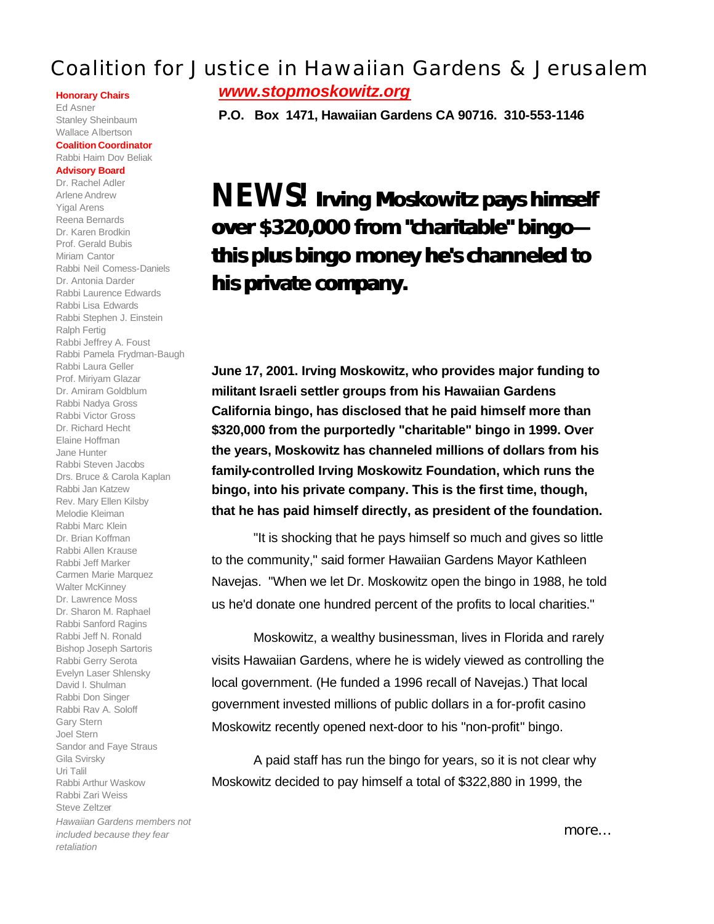## Coalition for Justice in Hawaiian Gardens & Jerusalem

#### **Honorary Chairs**

Ed Asner Stanley Sheinbaum Wallace Albertson

#### **Coalition Coordinator** Rabbi Haim Dov Beliak

### **Advisory Board**

Dr. Rachel Adler Arlene Andrew Yigal Arens Reena Bernards Dr. Karen Brodkin Prof. Gerald Bubis Miriam Cantor Rabbi Neil Comess-Daniels Dr. Antonia Darder Rabbi Laurence Edwards Rabbi Lisa Edwards Rabbi Stephen J. Einstein Ralph Fertig Rabbi Jeffrey A. Foust Rabbi Pamela Frydman-Baugh Rabbi Laura Geller Prof. Miriyam Glazar Dr. Amiram Goldblum Rabbi Nadya Gross Rabbi Victor Gross Dr. Richard Hecht Elaine Hoffman Jane Hunter Rabbi Steven Jacobs Drs. Bruce & Carola Kaplan Rabbi Jan Katzew Rev. Mary Ellen Kilsby Melodie Kleiman Rabbi Marc Klein Dr. Brian Koffman Rabbi Allen Krause Rabbi Jeff Marker Carmen Marie Marquez Walter McKinney Dr. Lawrence Moss Dr. Sharon M. Raphael Rabbi Sanford Ragins Rabbi Jeff N. Ronald Bishop Joseph Sartoris Rabbi Gerry Serota Evelyn Laser Shlensky David I. Shulman Rabbi Don Singer Rabbi Rav A. Soloff Gary Stern Joel Stern Sandor and Faye Straus Gila Svirsky Uri Talil Rabbi Arthur Waskow Rabbi Zari Weiss Steve Zeltzer *Hawaiian Gardens members not included because they fear retaliation*

*www.stopmoskowitz.org*

**P.O. Box 1471, Hawaiian Gardens CA 90716. 310-553-1146**

# *NEWS! Irving Moskowitz pays himself over \$320,000 from "charitable" bingo this plus bingo money he's channeled to his private company.*

**June 17, 2001. Irving Moskowitz, who provides major funding to militant Israeli settler groups from his Hawaiian Gardens California bingo, has disclosed that he paid himself more than \$320,000 from the purportedly "charitable" bingo in 1999. Over the years, Moskowitz has channeled millions of dollars from his family-controlled Irving Moskowitz Foundation, which runs the bingo, into his private company. This is the first time, though, that he has paid himself directly, as president of the foundation.**

"It is shocking that he pays himself so much and gives so little to the community," said former Hawaiian Gardens Mayor Kathleen Navejas. "When we let Dr. Moskowitz open the bingo in 1988, he told us he'd donate one hundred percent of the profits to local charities."

Moskowitz, a wealthy businessman, lives in Florida and rarely visits Hawaiian Gardens, where he is widely viewed as controlling the local government. (He funded a 1996 recall of Navejas.) That local government invested millions of public dollars in a for-profit casino Moskowitz recently opened next-door to his "non-profit" bingo.

A paid staff has run the bingo for years, so it is not clear why Moskowitz decided to pay himself a total of \$322,880 in 1999, the

*more…*